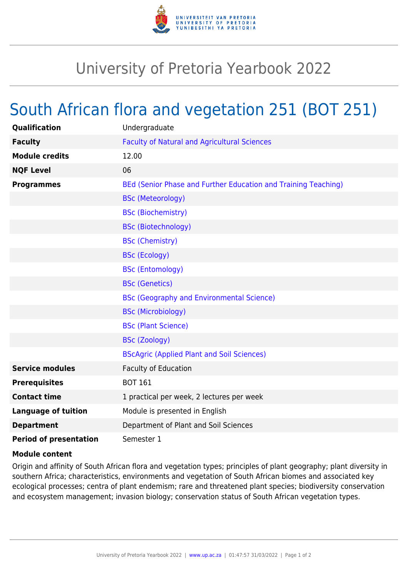

## University of Pretoria Yearbook 2022

## South African flora and vegetation 251 (BOT 251)

| Qualification                 | Undergraduate                                                  |
|-------------------------------|----------------------------------------------------------------|
| <b>Faculty</b>                | <b>Faculty of Natural and Agricultural Sciences</b>            |
| <b>Module credits</b>         | 12.00                                                          |
| <b>NQF Level</b>              | 06                                                             |
| <b>Programmes</b>             | BEd (Senior Phase and Further Education and Training Teaching) |
|                               | <b>BSc (Meteorology)</b>                                       |
|                               | <b>BSc (Biochemistry)</b>                                      |
|                               | <b>BSc (Biotechnology)</b>                                     |
|                               | <b>BSc (Chemistry)</b>                                         |
|                               | <b>BSc (Ecology)</b>                                           |
|                               | <b>BSc (Entomology)</b>                                        |
|                               | <b>BSc (Genetics)</b>                                          |
|                               | <b>BSc (Geography and Environmental Science)</b>               |
|                               | <b>BSc (Microbiology)</b>                                      |
|                               | <b>BSc (Plant Science)</b>                                     |
|                               | <b>BSc (Zoology)</b>                                           |
|                               | <b>BScAgric (Applied Plant and Soil Sciences)</b>              |
| <b>Service modules</b>        | <b>Faculty of Education</b>                                    |
| <b>Prerequisites</b>          | <b>BOT 161</b>                                                 |
| <b>Contact time</b>           | 1 practical per week, 2 lectures per week                      |
| <b>Language of tuition</b>    | Module is presented in English                                 |
| <b>Department</b>             | Department of Plant and Soil Sciences                          |
| <b>Period of presentation</b> | Semester 1                                                     |

## **Module content**

Origin and affinity of South African flora and vegetation types; principles of plant geography; plant diversity in southern Africa; characteristics, environments and vegetation of South African biomes and associated key ecological processes; centra of plant endemism; rare and threatened plant species; biodiversity conservation and ecosystem management; invasion biology; conservation status of South African vegetation types.